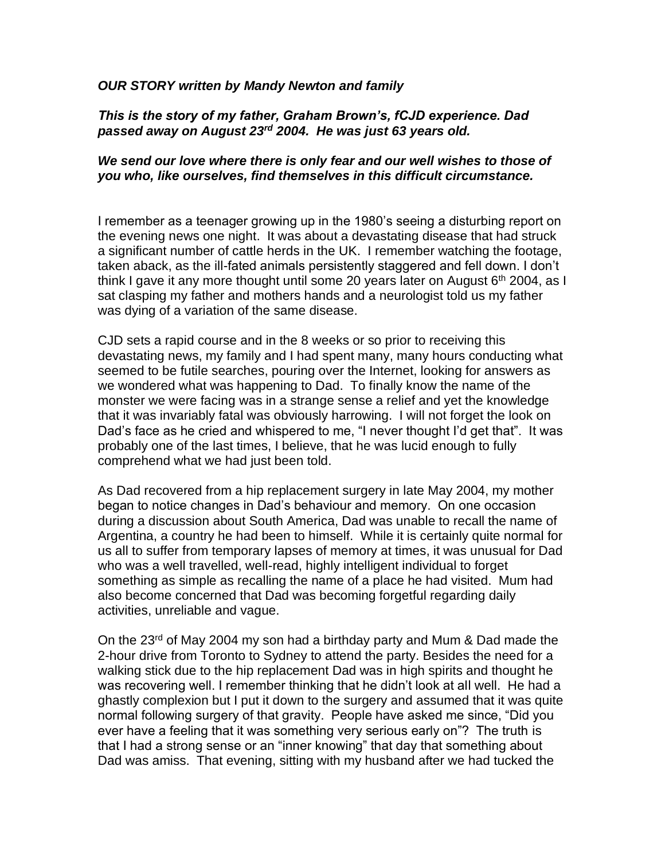## *OUR STORY written by Mandy Newton and family*

## *This is the story of my father, Graham Brown's, fCJD experience. Dad passed away on August 23rd 2004. He was just 63 years old.*

## *We send our love where there is only fear and our well wishes to those of you who, like ourselves, find themselves in this difficult circumstance.*

I remember as a teenager growing up in the 1980's seeing a disturbing report on the evening news one night. It was about a devastating disease that had struck a significant number of cattle herds in the UK. I remember watching the footage, taken aback, as the ill-fated animals persistently staggered and fell down. I don't think I gave it any more thought until some 20 years later on August  $6<sup>th</sup>$  2004, as I sat clasping my father and mothers hands and a neurologist told us my father was dying of a variation of the same disease.

CJD sets a rapid course and in the 8 weeks or so prior to receiving this devastating news, my family and I had spent many, many hours conducting what seemed to be futile searches, pouring over the Internet, looking for answers as we wondered what was happening to Dad. To finally know the name of the monster we were facing was in a strange sense a relief and yet the knowledge that it was invariably fatal was obviously harrowing. I will not forget the look on Dad's face as he cried and whispered to me, "I never thought I'd get that". It was probably one of the last times, I believe, that he was lucid enough to fully comprehend what we had just been told.

As Dad recovered from a hip replacement surgery in late May 2004, my mother began to notice changes in Dad's behaviour and memory. On one occasion during a discussion about South America, Dad was unable to recall the name of Argentina, a country he had been to himself. While it is certainly quite normal for us all to suffer from temporary lapses of memory at times, it was unusual for Dad who was a well travelled, well-read, highly intelligent individual to forget something as simple as recalling the name of a place he had visited. Mum had also become concerned that Dad was becoming forgetful regarding daily activities, unreliable and vague.

On the 23<sup>rd</sup> of May 2004 my son had a birthday party and Mum & Dad made the 2-hour drive from Toronto to Sydney to attend the party. Besides the need for a walking stick due to the hip replacement Dad was in high spirits and thought he was recovering well. I remember thinking that he didn't look at all well. He had a ghastly complexion but I put it down to the surgery and assumed that it was quite normal following surgery of that gravity. People have asked me since, "Did you ever have a feeling that it was something very serious early on"? The truth is that I had a strong sense or an "inner knowing" that day that something about Dad was amiss. That evening, sitting with my husband after we had tucked the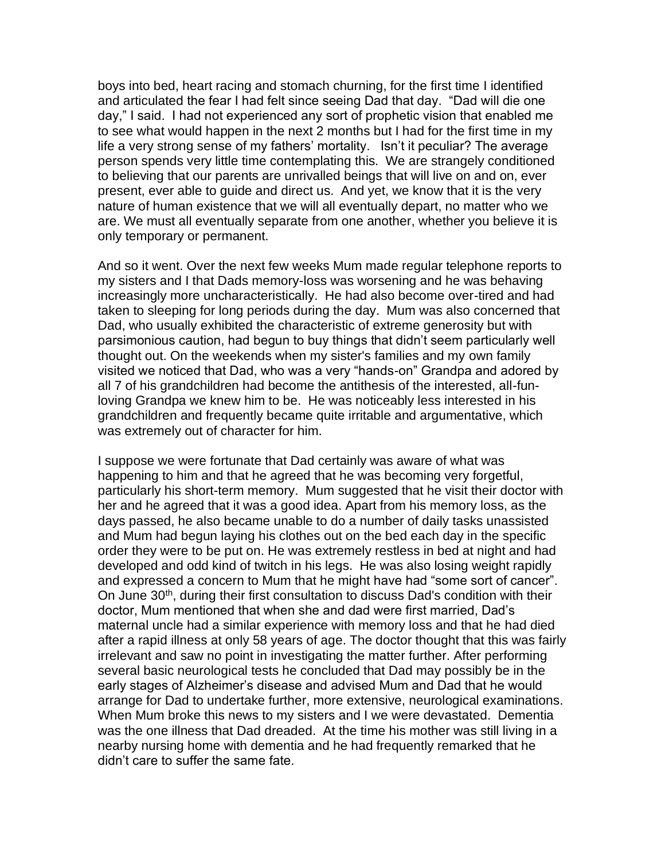boys into bed, heart racing and stomach churning, for the first time I identified and articulated the fear I had felt since seeing Dad that day. "Dad will die one day," I said. I had not experienced any sort of prophetic vision that enabled me to see what would happen in the next 2 months but I had for the first time in my life a very strong sense of my fathers' mortality. Isn't it peculiar? The average person spends very little time contemplating this. We are strangely conditioned to believing that our parents are unrivalled beings that will live on and on, ever present, ever able to guide and direct us. And yet, we know that it is the very nature of human existence that we will all eventually depart, no matter who we are. We must all eventually separate from one another, whether you believe it is only temporary or permanent.

And so it went. Over the next few weeks Mum made regular telephone reports to my sisters and I that Dads memory-loss was worsening and he was behaving increasingly more uncharacteristically. He had also become over-tired and had taken to sleeping for long periods during the day. Mum was also concerned that Dad, who usually exhibited the characteristic of extreme generosity but with parsimonious caution, had begun to buy things that didn't seem particularly well thought out. On the weekends when my sister's families and my own family visited we noticed that Dad, who was a very "hands-on" Grandpa and adored by all 7 of his grandchildren had become the antithesis of the interested, all-funloving Grandpa we knew him to be. He was noticeably less interested in his grandchildren and frequently became quite irritable and argumentative, which was extremely out of character for him.

I suppose we were fortunate that Dad certainly was aware of what was happening to him and that he agreed that he was becoming very forgetful, particularly his short-term memory. Mum suggested that he visit their doctor with her and he agreed that it was a good idea. Apart from his memory loss, as the days passed, he also became unable to do a number of daily tasks unassisted and Mum had begun laying his clothes out on the bed each day in the specific order they were to be put on. He was extremely restless in bed at night and had developed and odd kind of twitch in his legs. He was also losing weight rapidly and expressed a concern to Mum that he might have had "some sort of cancer". On June 30<sup>th</sup>, during their first consultation to discuss Dad's condition with their doctor, Mum mentioned that when she and dad were first married, Dad's maternal uncle had a similar experience with memory loss and that he had died after a rapid illness at only 58 years of age. The doctor thought that this was fairly irrelevant and saw no point in investigating the matter further. After performing several basic neurological tests he concluded that Dad may possibly be in the early stages of Alzheimer's disease and advised Mum and Dad that he would arrange for Dad to undertake further, more extensive, neurological examinations. When Mum broke this news to my sisters and I we were devastated. Dementia was the one illness that Dad dreaded. At the time his mother was still living in a nearby nursing home with dementia and he had frequently remarked that he didn't care to suffer the same fate.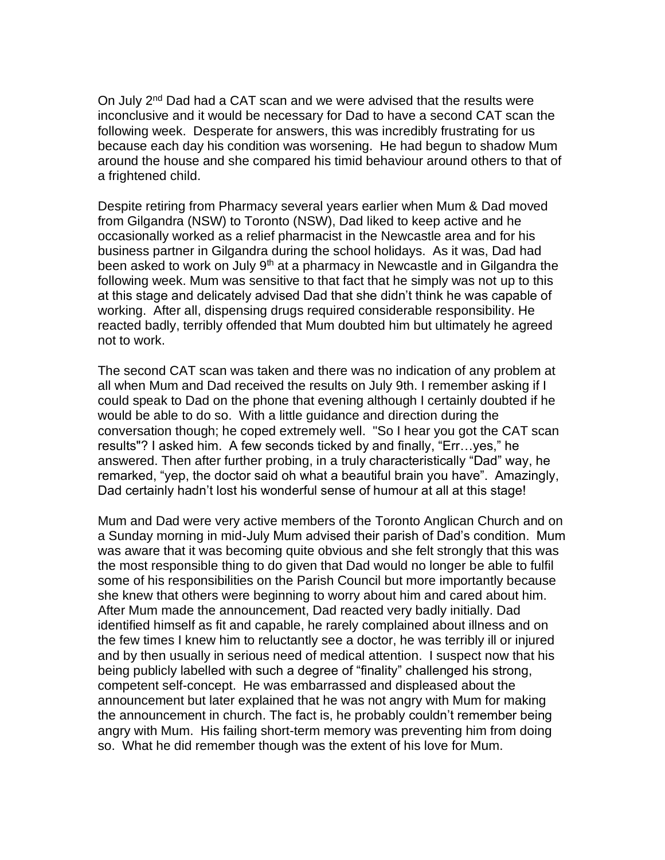On July 2<sup>nd</sup> Dad had a CAT scan and we were advised that the results were inconclusive and it would be necessary for Dad to have a second CAT scan the following week. Desperate for answers, this was incredibly frustrating for us because each day his condition was worsening. He had begun to shadow Mum around the house and she compared his timid behaviour around others to that of a frightened child.

Despite retiring from Pharmacy several years earlier when Mum & Dad moved from Gilgandra (NSW) to Toronto (NSW), Dad liked to keep active and he occasionally worked as a relief pharmacist in the Newcastle area and for his business partner in Gilgandra during the school holidays. As it was, Dad had been asked to work on July  $9<sup>th</sup>$  at a pharmacy in Newcastle and in Gilgandra the following week. Mum was sensitive to that fact that he simply was not up to this at this stage and delicately advised Dad that she didn't think he was capable of working. After all, dispensing drugs required considerable responsibility. He reacted badly, terribly offended that Mum doubted him but ultimately he agreed not to work.

The second CAT scan was taken and there was no indication of any problem at all when Mum and Dad received the results on July 9th. I remember asking if I could speak to Dad on the phone that evening although I certainly doubted if he would be able to do so. With a little guidance and direction during the conversation though; he coped extremely well. "So I hear you got the CAT scan results"? I asked him. A few seconds ticked by and finally, "Err…yes," he answered. Then after further probing, in a truly characteristically "Dad" way, he remarked, "yep, the doctor said oh what a beautiful brain you have". Amazingly, Dad certainly hadn't lost his wonderful sense of humour at all at this stage!

Mum and Dad were very active members of the Toronto Anglican Church and on a Sunday morning in mid-July Mum advised their parish of Dad's condition. Mum was aware that it was becoming quite obvious and she felt strongly that this was the most responsible thing to do given that Dad would no longer be able to fulfil some of his responsibilities on the Parish Council but more importantly because she knew that others were beginning to worry about him and cared about him. After Mum made the announcement, Dad reacted very badly initially. Dad identified himself as fit and capable, he rarely complained about illness and on the few times I knew him to reluctantly see a doctor, he was terribly ill or injured and by then usually in serious need of medical attention. I suspect now that his being publicly labelled with such a degree of "finality" challenged his strong, competent self-concept. He was embarrassed and displeased about the announcement but later explained that he was not angry with Mum for making the announcement in church. The fact is, he probably couldn't remember being angry with Mum. His failing short-term memory was preventing him from doing so. What he did remember though was the extent of his love for Mum.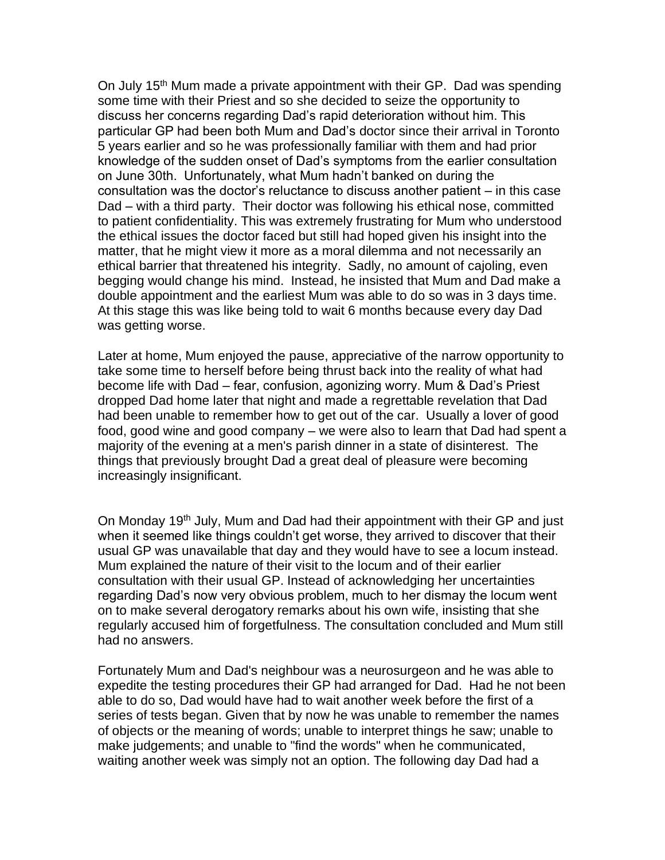On July 15<sup>th</sup> Mum made a private appointment with their GP. Dad was spending some time with their Priest and so she decided to seize the opportunity to discuss her concerns regarding Dad's rapid deterioration without him. This particular GP had been both Mum and Dad's doctor since their arrival in Toronto 5 years earlier and so he was professionally familiar with them and had prior knowledge of the sudden onset of Dad's symptoms from the earlier consultation on June 30th. Unfortunately, what Mum hadn't banked on during the consultation was the doctor's reluctance to discuss another patient – in this case Dad – with a third party. Their doctor was following his ethical nose, committed to patient confidentiality. This was extremely frustrating for Mum who understood the ethical issues the doctor faced but still had hoped given his insight into the matter, that he might view it more as a moral dilemma and not necessarily an ethical barrier that threatened his integrity. Sadly, no amount of cajoling, even begging would change his mind. Instead, he insisted that Mum and Dad make a double appointment and the earliest Mum was able to do so was in 3 days time. At this stage this was like being told to wait 6 months because every day Dad was getting worse.

Later at home, Mum enjoyed the pause, appreciative of the narrow opportunity to take some time to herself before being thrust back into the reality of what had become life with Dad – fear, confusion, agonizing worry. Mum & Dad's Priest dropped Dad home later that night and made a regrettable revelation that Dad had been unable to remember how to get out of the car. Usually a lover of good food, good wine and good company – we were also to learn that Dad had spent a majority of the evening at a men's parish dinner in a state of disinterest. The things that previously brought Dad a great deal of pleasure were becoming increasingly insignificant.

On Monday 19<sup>th</sup> July, Mum and Dad had their appointment with their GP and just when it seemed like things couldn't get worse, they arrived to discover that their usual GP was unavailable that day and they would have to see a locum instead. Mum explained the nature of their visit to the locum and of their earlier consultation with their usual GP. Instead of acknowledging her uncertainties regarding Dad's now very obvious problem, much to her dismay the locum went on to make several derogatory remarks about his own wife, insisting that she regularly accused him of forgetfulness. The consultation concluded and Mum still had no answers.

Fortunately Mum and Dad's neighbour was a neurosurgeon and he was able to expedite the testing procedures their GP had arranged for Dad. Had he not been able to do so, Dad would have had to wait another week before the first of a series of tests began. Given that by now he was unable to remember the names of objects or the meaning of words; unable to interpret things he saw; unable to make judgements; and unable to "find the words" when he communicated, waiting another week was simply not an option. The following day Dad had a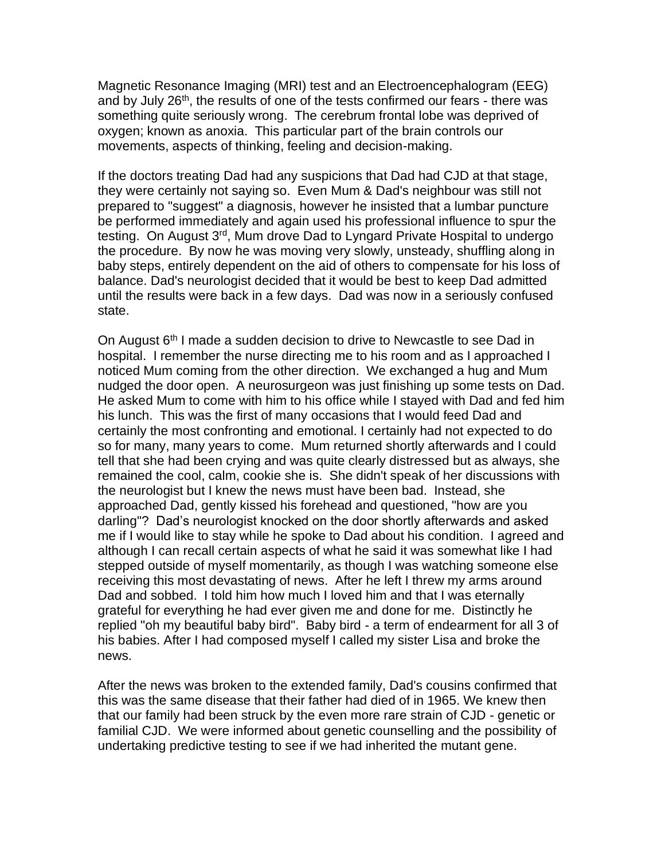Magnetic Resonance Imaging (MRI) test and an Electroencephalogram (EEG) and by July 26<sup>th</sup>, the results of one of the tests confirmed our fears - there was something quite seriously wrong. The cerebrum frontal lobe was deprived of oxygen; known as anoxia. This particular part of the brain controls our movements, aspects of thinking, feeling and decision-making.

If the doctors treating Dad had any suspicions that Dad had CJD at that stage, they were certainly not saying so. Even Mum & Dad's neighbour was still not prepared to "suggest" a diagnosis, however he insisted that a lumbar puncture be performed immediately and again used his professional influence to spur the testing. On August 3<sup>rd</sup>, Mum drove Dad to Lyngard Private Hospital to undergo the procedure. By now he was moving very slowly, unsteady, shuffling along in baby steps, entirely dependent on the aid of others to compensate for his loss of balance. Dad's neurologist decided that it would be best to keep Dad admitted until the results were back in a few days. Dad was now in a seriously confused state.

On August  $6<sup>th</sup>$  I made a sudden decision to drive to Newcastle to see Dad in hospital. I remember the nurse directing me to his room and as I approached I noticed Mum coming from the other direction. We exchanged a hug and Mum nudged the door open. A neurosurgeon was just finishing up some tests on Dad. He asked Mum to come with him to his office while I stayed with Dad and fed him his lunch. This was the first of many occasions that I would feed Dad and certainly the most confronting and emotional. I certainly had not expected to do so for many, many years to come. Mum returned shortly afterwards and I could tell that she had been crying and was quite clearly distressed but as always, she remained the cool, calm, cookie she is. She didn't speak of her discussions with the neurologist but I knew the news must have been bad. Instead, she approached Dad, gently kissed his forehead and questioned, "how are you darling"? Dad's neurologist knocked on the door shortly afterwards and asked me if I would like to stay while he spoke to Dad about his condition. I agreed and although I can recall certain aspects of what he said it was somewhat like I had stepped outside of myself momentarily, as though I was watching someone else receiving this most devastating of news. After he left I threw my arms around Dad and sobbed. I told him how much I loved him and that I was eternally grateful for everything he had ever given me and done for me. Distinctly he replied "oh my beautiful baby bird". Baby bird - a term of endearment for all 3 of his babies. After I had composed myself I called my sister Lisa and broke the news.

After the news was broken to the extended family, Dad's cousins confirmed that this was the same disease that their father had died of in 1965. We knew then that our family had been struck by the even more rare strain of CJD - genetic or familial CJD. We were informed about genetic counselling and the possibility of undertaking predictive testing to see if we had inherited the mutant gene.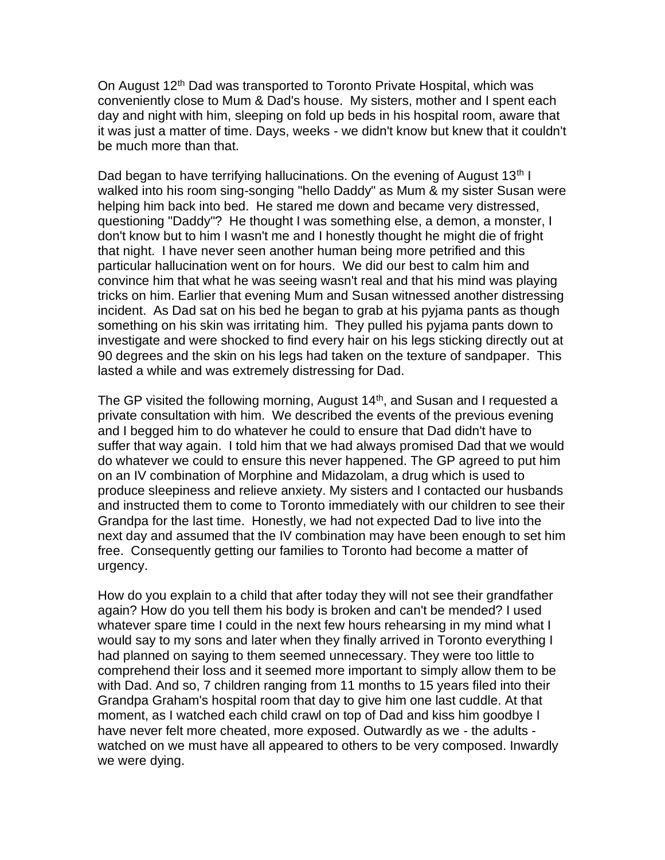On August 12<sup>th</sup> Dad was transported to Toronto Private Hospital, which was conveniently close to Mum & Dad's house. My sisters, mother and I spent each day and night with him, sleeping on fold up beds in his hospital room, aware that it was just a matter of time. Days, weeks - we didn't know but knew that it couldn't be much more than that.

Dad began to have terrifying hallucinations. On the evening of August  $13<sup>th</sup> I$ walked into his room sing-songing "hello Daddy" as Mum & my sister Susan were helping him back into bed. He stared me down and became very distressed, questioning "Daddy"? He thought I was something else, a demon, a monster, I don't know but to him I wasn't me and I honestly thought he might die of fright that night. I have never seen another human being more petrified and this particular hallucination went on for hours. We did our best to calm him and convince him that what he was seeing wasn't real and that his mind was playing tricks on him. Earlier that evening Mum and Susan witnessed another distressing incident. As Dad sat on his bed he began to grab at his pyjama pants as though something on his skin was irritating him. They pulled his pyjama pants down to investigate and were shocked to find every hair on his legs sticking directly out at 90 degrees and the skin on his legs had taken on the texture of sandpaper. This lasted a while and was extremely distressing for Dad.

The GP visited the following morning, August  $14<sup>th</sup>$ , and Susan and I requested a private consultation with him. We described the events of the previous evening and I begged him to do whatever he could to ensure that Dad didn't have to suffer that way again. I told him that we had always promised Dad that we would do whatever we could to ensure this never happened. The GP agreed to put him on an IV combination of Morphine and Midazolam, a drug which is used to produce sleepiness and relieve anxiety. My sisters and I contacted our husbands and instructed them to come to Toronto immediately with our children to see their Grandpa for the last time. Honestly, we had not expected Dad to live into the next day and assumed that the IV combination may have been enough to set him free. Consequently getting our families to Toronto had become a matter of urgency.

How do you explain to a child that after today they will not see their grandfather again? How do you tell them his body is broken and can't be mended? I used whatever spare time I could in the next few hours rehearsing in my mind what I would say to my sons and later when they finally arrived in Toronto everything I had planned on saying to them seemed unnecessary. They were too little to comprehend their loss and it seemed more important to simply allow them to be with Dad. And so, 7 children ranging from 11 months to 15 years filed into their Grandpa Graham's hospital room that day to give him one last cuddle. At that moment, as I watched each child crawl on top of Dad and kiss him goodbye I have never felt more cheated, more exposed. Outwardly as we - the adults watched on we must have all appeared to others to be very composed. Inwardly we were dying.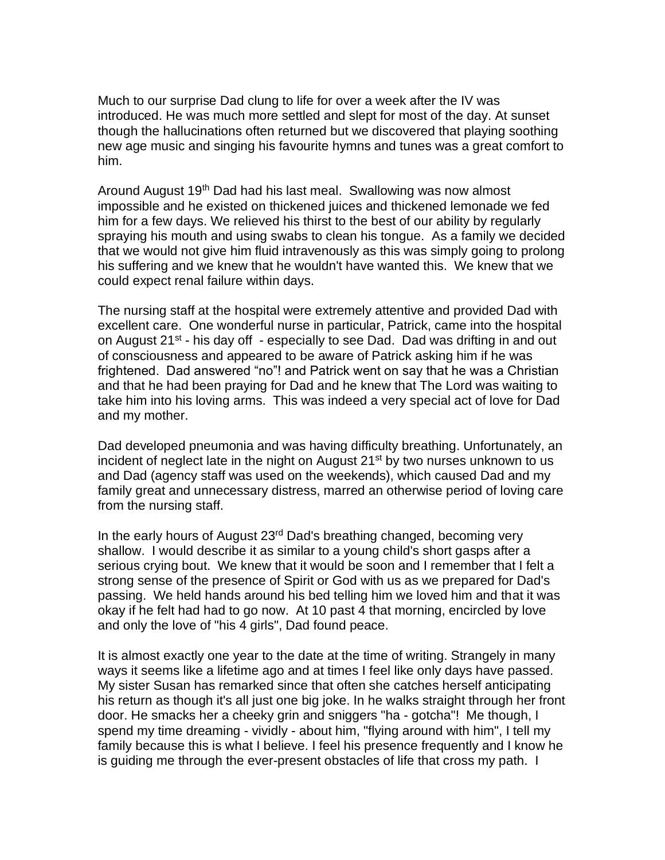Much to our surprise Dad clung to life for over a week after the IV was introduced. He was much more settled and slept for most of the day. At sunset though the hallucinations often returned but we discovered that playing soothing new age music and singing his favourite hymns and tunes was a great comfort to him.

Around August 19<sup>th</sup> Dad had his last meal. Swallowing was now almost impossible and he existed on thickened juices and thickened lemonade we fed him for a few days. We relieved his thirst to the best of our ability by regularly spraying his mouth and using swabs to clean his tongue. As a family we decided that we would not give him fluid intravenously as this was simply going to prolong his suffering and we knew that he wouldn't have wanted this. We knew that we could expect renal failure within days.

The nursing staff at the hospital were extremely attentive and provided Dad with excellent care. One wonderful nurse in particular, Patrick, came into the hospital on August 21<sup>st</sup> - his day off - especially to see Dad. Dad was drifting in and out of consciousness and appeared to be aware of Patrick asking him if he was frightened. Dad answered "no"! and Patrick went on say that he was a Christian and that he had been praying for Dad and he knew that The Lord was waiting to take him into his loving arms. This was indeed a very special act of love for Dad and my mother.

Dad developed pneumonia and was having difficulty breathing. Unfortunately, an incident of neglect late in the night on August 21<sup>st</sup> by two nurses unknown to us and Dad (agency staff was used on the weekends), which caused Dad and my family great and unnecessary distress, marred an otherwise period of loving care from the nursing staff.

In the early hours of August 23<sup>rd</sup> Dad's breathing changed, becoming very shallow. I would describe it as similar to a young child's short gasps after a serious crying bout. We knew that it would be soon and I remember that I felt a strong sense of the presence of Spirit or God with us as we prepared for Dad's passing. We held hands around his bed telling him we loved him and that it was okay if he felt had had to go now. At 10 past 4 that morning, encircled by love and only the love of "his 4 girls", Dad found peace.

It is almost exactly one year to the date at the time of writing. Strangely in many ways it seems like a lifetime ago and at times I feel like only days have passed. My sister Susan has remarked since that often she catches herself anticipating his return as though it's all just one big joke. In he walks straight through her front door. He smacks her a cheeky grin and sniggers "ha - gotcha"! Me though, I spend my time dreaming - vividly - about him, "flying around with him", I tell my family because this is what I believe. I feel his presence frequently and I know he is guiding me through the ever-present obstacles of life that cross my path. I